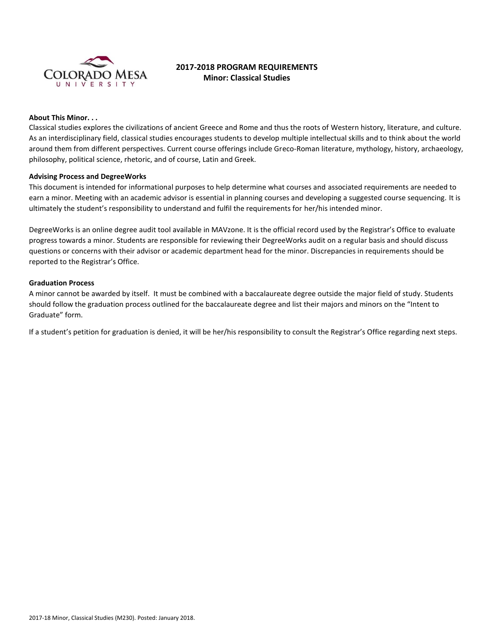

# **2017-2018 PROGRAM REQUIREMENTS Minor: Classical Studies**

# **About This Minor. . .**

Classical studies explores the civilizations of ancient Greece and Rome and thus the roots of Western history, literature, and culture. As an interdisciplinary field, classical studies encourages students to develop multiple intellectual skills and to think about the world around them from different perspectives. Current course offerings include Greco-Roman literature, mythology, history, archaeology, philosophy, political science, rhetoric, and of course, Latin and Greek.

#### **Advising Process and DegreeWorks**

This document is intended for informational purposes to help determine what courses and associated requirements are needed to earn a minor. Meeting with an academic advisor is essential in planning courses and developing a suggested course sequencing. It is ultimately the student's responsibility to understand and fulfil the requirements for her/his intended minor.

DegreeWorks is an online degree audit tool available in MAVzone. It is the official record used by the Registrar's Office to evaluate progress towards a minor. Students are responsible for reviewing their DegreeWorks audit on a regular basis and should discuss questions or concerns with their advisor or academic department head for the minor. Discrepancies in requirements should be reported to the Registrar's Office.

#### **Graduation Process**

A minor cannot be awarded by itself. It must be combined with a baccalaureate degree outside the major field of study. Students should follow the graduation process outlined for the baccalaureate degree and list their majors and minors on the "Intent to Graduate" form.

If a student's petition for graduation is denied, it will be her/his responsibility to consult the Registrar's Office regarding next steps.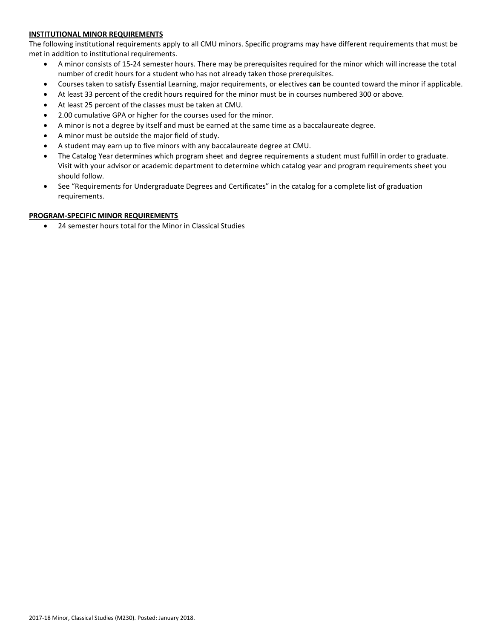# **INSTITUTIONAL MINOR REQUIREMENTS**

The following institutional requirements apply to all CMU minors. Specific programs may have different requirements that must be met in addition to institutional requirements.

- A minor consists of 15-24 semester hours. There may be prerequisites required for the minor which will increase the total number of credit hours for a student who has not already taken those prerequisites.
- Courses taken to satisfy Essential Learning, major requirements, or electives **can** be counted toward the minor if applicable.
- At least 33 percent of the credit hours required for the minor must be in courses numbered 300 or above.
- At least 25 percent of the classes must be taken at CMU.
- 2.00 cumulative GPA or higher for the courses used for the minor.
- A minor is not a degree by itself and must be earned at the same time as a baccalaureate degree.
- A minor must be outside the major field of study.
- A student may earn up to five minors with any baccalaureate degree at CMU.
- The Catalog Year determines which program sheet and degree requirements a student must fulfill in order to graduate. Visit with your advisor or academic department to determine which catalog year and program requirements sheet you should follow.
- See "Requirements for Undergraduate Degrees and Certificates" in the catalog for a complete list of graduation requirements.

# **PROGRAM-SPECIFIC MINOR REQUIREMENTS**

24 semester hours total for the Minor in Classical Studies